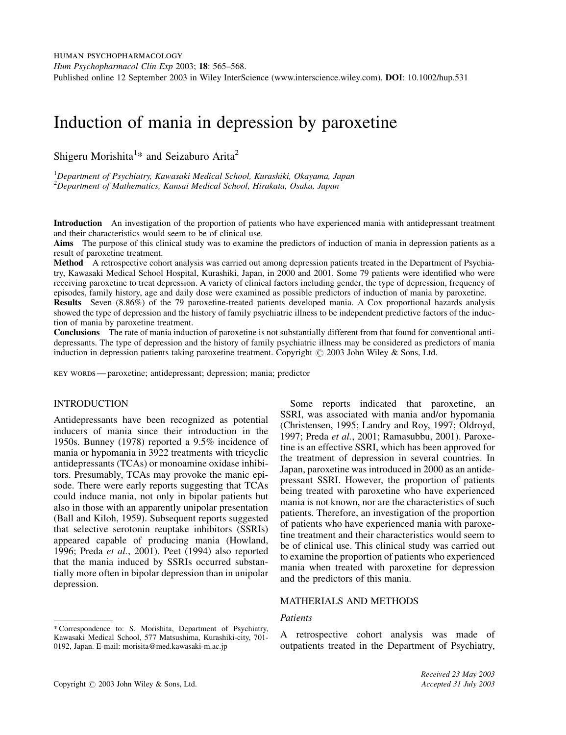# Induction of mania in depression by paroxetine

Shigeru Morishita<sup>1</sup>\* and Seizaburo Arita<sup>2</sup>

<sup>1</sup>Department of Psychiatry, Kawasaki Medical School, Kurashiki, Okayama, Japan <sup>2</sup>Department of Mathematics, Kansai Medical School, Hirakata, Osaka, Japan

Introduction An investigation of the proportion of patients who have experienced mania with antidepressant treatment and their characteristics would seem to be of clinical use.

Aims The purpose of this clinical study was to examine the predictors of induction of mania in depression patients as a result of paroxetine treatment.

Method A retrospective cohort analysis was carried out among depression patients treated in the Department of Psychiatry, Kawasaki Medical School Hospital, Kurashiki, Japan, in 2000 and 2001. Some 79 patients were identified who were receiving paroxetine to treat depression. A variety of clinical factors including gender, the type of depression, frequency of episodes, family history, age and daily dose were examined as possible predictors of induction of mania by paroxetine. Results Seven (8.86%) of the 79 paroxetine-treated patients developed mania. A Cox proportional hazards analysis showed the type of depression and the history of family psychiatric illness to be independent predictive factors of the induction of mania by paroxetine treatment.

Conclusions The rate of mania induction of paroxetine is not substantially different from that found for conventional antidepressants. The type of depression and the history of family psychiatric illness may be considered as predictors of mania induction in depression patients taking paroxetine treatment. Copyright  $\odot$  2003 John Wiley & Sons, Ltd.

key words — paroxetine; antidepressant; depression; mania; predictor

## INTRODUCTION

Antidepressants have been recognized as potential inducers of mania since their introduction in the 1950s. Bunney (1978) reported a 9.5% incidence of mania or hypomania in 3922 treatments with tricyclic antidepressants (TCAs) or monoamine oxidase inhibitors. Presumably, TCAs may provoke the manic episode. There were early reports suggesting that TCAs could induce mania, not only in bipolar patients but also in those with an apparently unipolar presentation (Ball and Kiloh, 1959). Subsequent reports suggested that selective serotonin reuptake inhibitors (SSRIs) appeared capable of producing mania (Howland, 1996; Preda et al., 2001). Peet (1994) also reported that the mania induced by SSRIs occurred substantially more often in bipolar depression than in unipolar depression.

Some reports indicated that paroxetine, an SSRI, was associated with mania and/or hypomania (Christensen, 1995; Landry and Roy, 1997; Oldroyd, 1997; Preda et al., 2001; Ramasubbu, 2001). Paroxetine is an effective SSRI, which has been approved for the treatment of depression in several countries. In Japan, paroxetine was introduced in 2000 as an antidepressant SSRI. However, the proportion of patients being treated with paroxetine who have experienced mania is not known, nor are the characteristics of such patients. Therefore, an investigation of the proportion of patients who have experienced mania with paroxetine treatment and their characteristics would seem to be of clinical use. This clinical study was carried out to examine the proportion of patients who experienced mania when treated with paroxetine for depression and the predictors of this mania.

# MATHERIALS AND METHODS

# Patients

A retrospective cohort analysis was made of outpatients treated in the Department of Psychiatry,

<sup>\*</sup> Correspondence to: S. Morishita, Department of Psychiatry, Kawasaki Medical School, 577 Matsushima, Kurashiki-city, 701- 0192, Japan. E-mail: morisita@med.kawasaki-m.ac.jp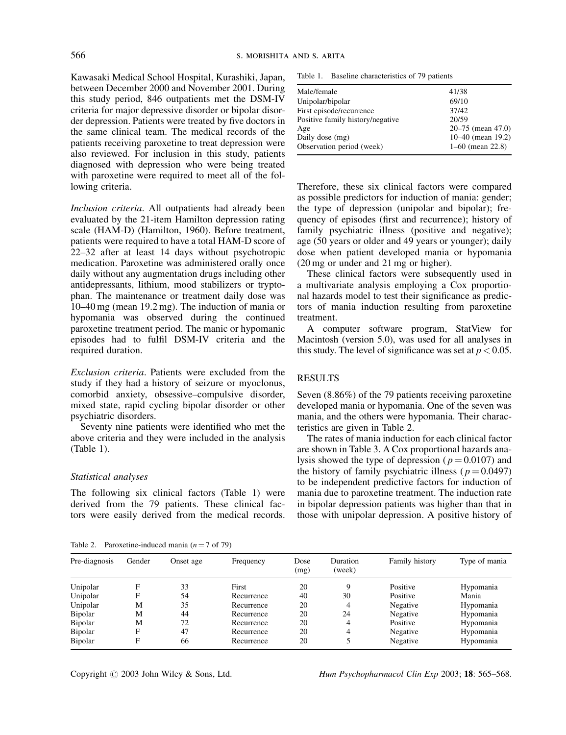Kawasaki Medical School Hospital, Kurashiki, Japan, between December 2000 and November 2001. During this study period, 846 outpatients met the DSM-IV criteria for major depressive disorder or bipolar disorder depression. Patients were treated by five doctors in the same clinical team. The medical records of the patients receiving paroxetine to treat depression were also reviewed. For inclusion in this study, patients diagnosed with depression who were being treated with paroxetine were required to meet all of the following criteria.

Inclusion criteria. All outpatients had already been evaluated by the 21-item Hamilton depression rating scale (HAM-D) (Hamilton, 1960). Before treatment, patients were required to have a total HAM-D score of 22–32 after at least 14 days without psychotropic medication. Paroxetine was administered orally once daily without any augmentation drugs including other antidepressants, lithium, mood stabilizers or tryptophan. The maintenance or treatment daily dose was 10–40 mg (mean 19.2 mg). The induction of mania or hypomania was observed during the continued paroxetine treatment period. The manic or hypomanic episodes had to fulfil DSM-IV criteria and the required duration.

Exclusion criteria. Patients were excluded from the study if they had a history of seizure or myoclonus, comorbid anxiety, obsessive–compulsive disorder, mixed state, rapid cycling bipolar disorder or other psychiatric disorders.

Seventy nine patients were identified who met the above criteria and they were included in the analysis (Table 1).

### Statistical analyses

The following six clinical factors (Table 1) were derived from the 79 patients. These clinical factors were easily derived from the medical records.

Table 1. Baseline characteristics of 79 patients

| Male/female                      | 41/38                 |
|----------------------------------|-----------------------|
| Unipolar/bipolar                 | 69/10                 |
| First episode/recurrence         | 37/42                 |
| Positive family history/negative | 20/59                 |
| Age                              | $20 - 75$ (mean 47.0) |
| Daily dose (mg)                  | 10–40 (mean 19.2)     |
| Observation period (week)        | $1-60$ (mean 22.8)    |
|                                  |                       |

Therefore, these six clinical factors were compared as possible predictors for induction of mania: gender; the type of depression (unipolar and bipolar); frequency of episodes (first and recurrence); history of family psychiatric illness (positive and negative); age (50 years or older and 49 years or younger); daily dose when patient developed mania or hypomania (20 mg or under and 21 mg or higher).

These clinical factors were subsequently used in a multivariate analysis employing a Cox proportional hazards model to test their significance as predictors of mania induction resulting from paroxetine treatment.

A computer software program, StatView for Macintosh (version 5.0), was used for all analyses in this study. The level of significance was set at  $p < 0.05$ .

## RESULTS

Seven (8.86%) of the 79 patients receiving paroxetine developed mania or hypomania. One of the seven was mania, and the others were hypomania. Their characteristics are given in Table 2.

The rates of mania induction for each clinical factor are shown in Table 3. A Cox proportional hazards analysis showed the type of depression ( $p = 0.0107$ ) and the history of family psychiatric illness ( $p = 0.0497$ ) to be independent predictive factors for induction of mania due to paroxetine treatment. The induction rate in bipolar depression patients was higher than that in those with unipolar depression. A positive history of

Table 2. Paroxetine-induced mania  $(n = 7 \text{ of } 79)$ 

| Pre-diagnosis | Gender | Onset age | Frequency  | Dose<br>(mg) | Duration<br>(week) | Family history | Type of mania |
|---------------|--------|-----------|------------|--------------|--------------------|----------------|---------------|
| Unipolar      | F      | 33        | First      | 20           | 9                  | Positive       | Hypomania     |
| Unipolar      | F      | 54        | Recurrence | 40           | 30                 | Positive       | Mania         |
| Unipolar      | М      | 35        | Recurrence | 20           | 4                  | Negative       | Hypomania     |
| Bipolar       | М      | 44        | Recurrence | 20           | 24                 | Negative       | Hypomania     |
| Bipolar       | M      | 72        | Recurrence | 20           | 4                  | Positive       | Hypomania     |
| Bipolar       | F      | 47        | Recurrence | 20           | 4                  | Negative       | Hypomania     |
| Bipolar       | F      | 66        | Recurrence | 20           |                    | Negative       | Hypomania     |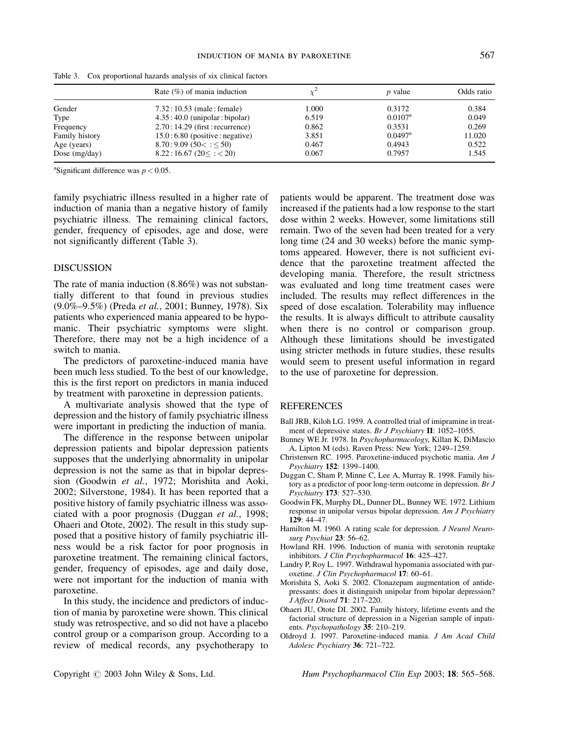|                 | Rate $(\%)$ of mania induction                                                          |       | <i>p</i> value        | Odds ratio |  |
|-----------------|-----------------------------------------------------------------------------------------|-------|-----------------------|------------|--|
| Gender          | $7.32:10.53$ (male: female)                                                             | 1.000 | 0.3172                | 0.384      |  |
| Type            | $4.35:40.0$ (unipolar: bipolar)                                                         | 6.519 | $0.0107^{\rm a}$      | 0.049      |  |
| Frequency       | $2.70:14.29$ (first: recurrence)                                                        | 0.862 | 0.3531                | 0.269      |  |
| Family history  | $15.0:6.80$ (positive : negative)                                                       | 3.851 | $0.0497$ <sup>a</sup> | 11.020     |  |
| Age (years)     | 8.70:9.09(50 <cdot1<50)< td=""><td>0.467</td><td>0.4943</td><td>0.522</td></cdot1<50)<> | 0.467 | 0.4943                | 0.522      |  |
| Dose $(mg/day)$ | $8.22:16.67(20 \leq z \leq 20)$                                                         | 0.067 | 0.7957                | 1.545      |  |

Table 3. Cox proportional hazards analysis of six clinical factors

<sup>a</sup>Significant difference was  $p < 0.05$ .

family psychiatric illness resulted in a higher rate of induction of mania than a negative history of family psychiatric illness. The remaining clinical factors, gender, frequency of episodes, age and dose, were not significantly different (Table 3).

## DISCUSSION

The rate of mania induction (8.86%) was not substantially different to that found in previous studies (9.0%–9.5%) (Preda et al., 2001; Bunney, 1978). Six patients who experienced mania appeared to be hypomanic. Their psychiatric symptoms were slight. Therefore, there may not be a high incidence of a switch to mania.

The predictors of paroxetine-induced mania have been much less studied. To the best of our knowledge, this is the first report on predictors in mania induced by treatment with paroxetine in depression patients.

A multivariate analysis showed that the type of depression and the history of family psychiatric illness were important in predicting the induction of mania.

The difference in the response between unipolar depression patients and bipolar depression patients supposes that the underlying abnormality in unipolar depression is not the same as that in bipolar depression (Goodwin et al., 1972; Morishita and Aoki, 2002; Silverstone, 1984). It has been reported that a positive history of family psychiatric illness was associated with a poor prognosis (Duggan et al., 1998; Ohaeri and Otote, 2002). The result in this study supposed that a positive history of family psychiatric illness would be a risk factor for poor prognosis in paroxetine treatment. The remaining clinical factors, gender, frequency of episodes, age and daily dose, were not important for the induction of mania with paroxetine.

In this study, the incidence and predictors of induction of mania by paroxetine were shown. This clinical study was retrospective, and so did not have a placebo control group or a comparison group. According to a review of medical records, any psychotherapy to

patients would be apparent. The treatment dose was increased if the patients had a low response to the start dose within 2 weeks. However, some limitations still remain. Two of the seven had been treated for a very long time (24 and 30 weeks) before the manic symptoms appeared. However, there is not sufficient evidence that the paroxetine treatment affected the developing mania. Therefore, the result strictness was evaluated and long time treatment cases were included. The results may reflect differences in the speed of dose escalation. Tolerability may influence the results. It is always difficult to attribute causality when there is no control or comparison group. Although these limitations should be investigated using stricter methods in future studies, these results would seem to present useful information in regard to the use of paroxetine for depression.

### REFERENCES

- Ball JRB, Kiloh LG. 1959. A controlled trial of imipramine in treatment of depressive states. Br J Psychiatry II: 1052–1055.
- Bunney WE Jr. 1978. In Psychopharmacology, Killan K, DiMascio A, Lipton M (eds). Raven Press: New York; 1249–1259.
- Christensen RC. 1995. Paroxetine-induced psychotic mania. Am J Psychiatry 152: 1399–1400.
- Duggan C, Sham P, Minne C, Lee A, Murray R. 1998. Family history as a predictor of poor long-term outcome in depression. Br J Psychiatry 173: 527–530.
- Goodwin FK, Murphy DL, Dunner DL, Bunney WE. 1972. Lithium response in unipolar versus bipolar depression. Am J Psychiatry  $129:44-47$ .
- Hamilton M. 1960. A rating scale for depression. J Neurol Neurosurg Psychiat 23: 56–62.
- Howland RH. 1996. Induction of mania with serotonin reuptake inhibitors. J Clin Psychopharmacol 16: 425–427.
- Landry P, Roy L. 1997. Withdrawal hypomania associated with paroxetine. J Clin Psychopharmacol 17: 60–61.
- Morishita S, Aoki S. 2002. Clonazepam augmentation of antidepressants: does it distinguish unipolar from bipolar depression? J Affect Disord 71: 217–220.
- Ohaeri JU, Otote DI. 2002. Family history, lifetime events and the factorial structure of depression in a Nigerian sample of inpatients. *Psychopathology* 35: 210–219.
- Oldroyd J. 1997. Paroxetine-induced mania. J Am Acad Child Adolesc Psychiatry 36: 721–722.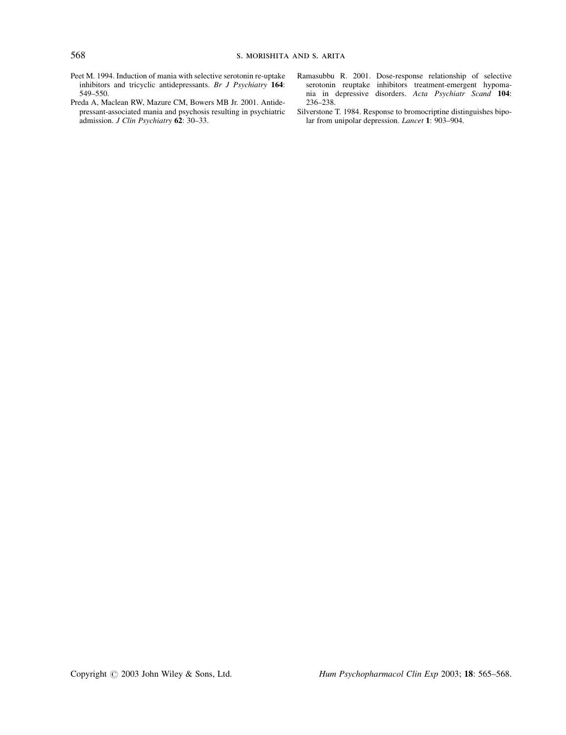- Peet M. 1994. Induction of mania with selective serotonin re-uptake inhibitors and tricyclic antidepressants. Br J Psychiatry 164: 549–550.
- Preda A, Maclean RW, Mazure CM, Bowers MB Jr. 2001. Antidepressant-associated mania and psychosis resulting in psychiatric admission. J Clin Psychiatry 62: 30–33.
- Ramasubbu R. 2001. Dose-response relationship of selective serotonin reuptake inhibitors treatment-emergent hypomania in depressive disorders. Acta Psychiatr Scand 104: 236–238.
- Silverstone T. 1984. Response to bromocriptine distinguishes bipolar from unipolar depression. Lancet 1: 903–904.